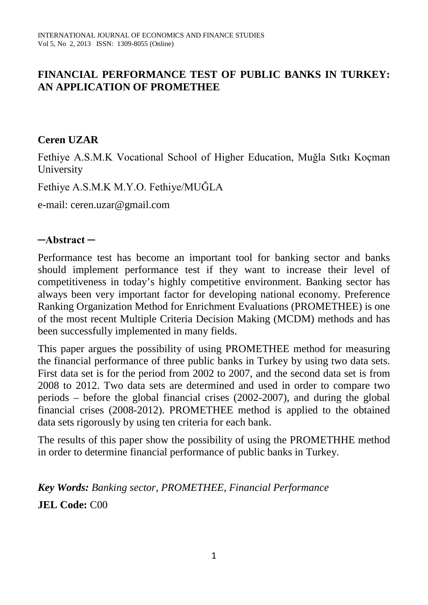## **FINANCIAL PERFORMANCE TEST OF PUBLIC BANKS IN TURKEY: AN APPLICATION OF PROMETHEE**

## **Ceren UZAR**

Fethiye A.S.M.K Vocational School of Higher Education, Muğla Sıtkı Koçman University

Fethiye A.S.M.K M.Y.O. Fethiye/MUĞLA

e-mail: ceren.uzar@gmail.com

#### **─Abstract ─**

Performance test has become an important tool for banking sector and banks should implement performance test if they want to increase their level of competitiveness in today's highly competitive environment. Banking sector has always been very important factor for developing national economy. Preference Ranking Organization Method for Enrichment Evaluations (PROMETHEE) is one of the most recent Multiple Criteria Decision Making (MCDM) methods and has been successfully implemented in many fields.

This paper argues the possibility of using PROMETHEE method for measuring the financial performance of three public banks in Turkey by using two data sets. First data set is for the period from 2002 to 2007, and the second data set is from 2008 to 2012. Two data sets are determined and used in order to compare two periods – before the global financial crises (2002-2007), and during the global financial crises (2008-2012). PROMETHEE method is applied to the obtained data sets rigorously by using ten criteria for each bank.

The results of this paper show the possibility of using the PROMETHHE method in order to determine financial performance of public banks in Turkey.

*Key Words: Banking sector, PROMETHEE, Financial Performance* **JEL Code:** C00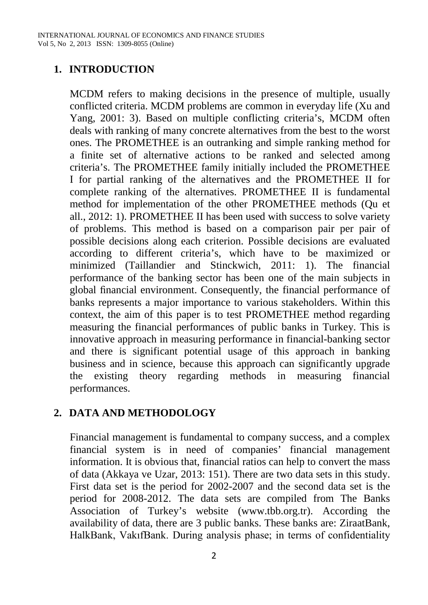## **1. INTRODUCTION**

MCDM refers to making decisions in the presence of multiple, usually conflicted criteria. MCDM problems are common in everyday life (Xu and Yang, 2001: 3). Based on multiple conflicting criteria's, MCDM often deals with ranking of many concrete alternatives from the best to the worst ones. The PROMETHEE is an outranking and simple ranking method for a finite set of alternative actions to be ranked and selected among criteria's. The PROMETHEE family initially included the PROMETHEE I for partial ranking of the alternatives and the PROMETHEE II for complete ranking of the alternatives. PROMETHEE II is fundamental method for implementation of the other PROMETHEE methods (Qu et all., 2012: 1). PROMETHEE II has been used with success to solve variety of problems. This method is based on a comparison pair per pair of possible decisions along each criterion. Possible decisions are evaluated according to different criteria's, which have to be maximized or minimized (Taillandier and Stinckwich, 2011: 1). The financial performance of the banking sector has been one of the main subjects in global financial environment. Consequently, the financial performance of banks represents a major importance to various stakeholders. Within this context, the aim of this paper is to test PROMETHEE method regarding measuring the financial performances of public banks in Turkey. This is innovative approach in measuring performance in financial-banking sector and there is significant potential usage of this approach in banking business and in science, because this approach can significantly upgrade the existing theory regarding methods in measuring financial performances.

## **2. DATA AND METHODOLOGY**

Financial management is fundamental to company success, and a complex financial system is in need of companies' financial management information. It is obvious that, financial ratios can help to convert the mass of data (Akkaya ve Uzar, 2013: 151). There are two data sets in this study. First data set is the period for 2002-2007 and the second data set is the period for 2008-2012. The data sets are compiled from The Banks Association of Turkey's website (www.tbb.org.tr). According the availability of data, there are 3 public banks. These banks are: ZiraatBank, HalkBank, VakıfBank. During analysis phase; in terms of confidentiality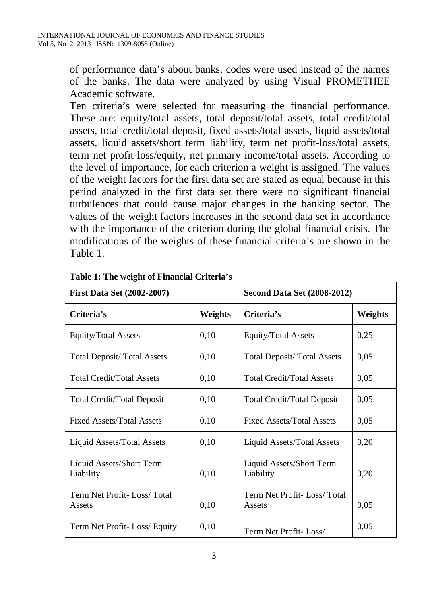of performance data's about banks, codes were used instead of the names of the banks. The data were analyzed by using Visual PROMETHEE Academic software.

Ten criteria's were selected for measuring the financial performance. These are: equity/total assets, total deposit/total assets, total credit/total assets, total credit/total deposit, fixed assets/total assets, liquid assets/total assets, liquid assets/short term liability, term net profit-loss/total assets, term net profit-loss/equity, net primary income/total assets. According to the level of importance, for each criterion a weight is assigned. The values of the weight factors for the first data set are stated as equal because in this period analyzed in the first data set there were no significant financial turbulences that could cause major changes in the banking sector. The values of the weight factors increases in the second data set in accordance with the importance of the criterion during the global financial crisis. The modifications of the weights of these financial criteria's are shown in the Table 1.

| <b>First Data Set (2002-2007)</b>     | <b>Second Data Set (2008-2012)</b> |                                       |         |
|---------------------------------------|------------------------------------|---------------------------------------|---------|
| Criteria's                            | Weights                            | Criteria's                            | Weights |
| Equity/Total Assets                   | 0,10                               | <b>Equity/Total Assets</b>            | 0,25    |
| <b>Total Deposit/ Total Assets</b>    | 0.10                               | <b>Total Deposit/ Total Assets</b>    | 0.05    |
| <b>Total Credit/Total Assets</b>      | 0,10                               | <b>Total Credit/Total Assets</b>      | 0.05    |
| Total Credit/Total Deposit            | 0.10                               | Total Credit/Total Deposit            | 0.05    |
| <b>Fixed Assets/Total Assets</b>      | 0,10                               | <b>Fixed Assets/Total Assets</b>      | 0.05    |
| Liquid Assets/Total Assets            | 0,10                               | Liquid Assets/Total Assets            | 0,20    |
| Liquid Assets/Short Term<br>Liability | 0,10                               | Liquid Assets/Short Term<br>Liability | 0,20    |
| Term Net Profit-Loss/Total<br>Assets  | 0,10                               | Term Net Profit-Loss/Total<br>Assets  | 0.05    |
| Term Net Profit-Loss/ Equity          | 0,10                               | Term Net Profit-Loss/                 | 0,05    |

**Table 1: The weight of Financial Criteria's**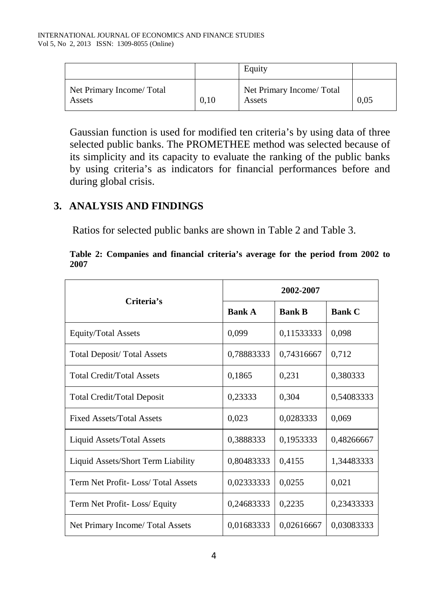|                                    |      | Equity                              |      |
|------------------------------------|------|-------------------------------------|------|
| Net Primary Income/Total<br>Assets | 0.10 | Net Primary Income/ Total<br>Assets | 0.05 |

Gaussian function is used for modified ten criteria's by using data of three selected public banks. The PROMETHEE method was selected because of its simplicity and its capacity to evaluate the ranking of the public banks by using criteria's as indicators for financial performances before and during global crisis.

## **3. ANALYSIS AND FINDINGS**

Ratios for selected public banks are shown in Table 2 and Table 3.

|      | Table 2: Companies and financial criteria's average for the period from 2002 to |  |  |  |  |  |
|------|---------------------------------------------------------------------------------|--|--|--|--|--|
| 2007 |                                                                                 |  |  |  |  |  |

| Criteria's                         | 2002-2007     |               |               |  |  |
|------------------------------------|---------------|---------------|---------------|--|--|
|                                    | <b>Bank A</b> | <b>Bank B</b> | <b>Bank C</b> |  |  |
| <b>Equity/Total Assets</b>         | 0,099         | 0,11533333    | 0,098         |  |  |
| <b>Total Deposit/ Total Assets</b> | 0,78883333    | 0,74316667    | 0,712         |  |  |
| <b>Total Credit/Total Assets</b>   | 0,1865        | 0,231         | 0,380333      |  |  |
| <b>Total Credit/Total Deposit</b>  | 0,23333       | 0,304         | 0,54083333    |  |  |
| <b>Fixed Assets/Total Assets</b>   | 0,023         | 0,0283333     | 0,069         |  |  |
| Liquid Assets/Total Assets         | 0,3888333     | 0,1953333     | 0,48266667    |  |  |
| Liquid Assets/Short Term Liability | 0,80483333    | 0,4155        | 1,34483333    |  |  |
| Term Net Profit-Loss/Total Assets  | 0,02333333    | 0,0255        | 0,021         |  |  |
| Term Net Profit-Loss/Equity        | 0,24683333    | 0,2235        | 0,23433333    |  |  |
| Net Primary Income/ Total Assets   | 0,01683333    | 0,02616667    | 0,03083333    |  |  |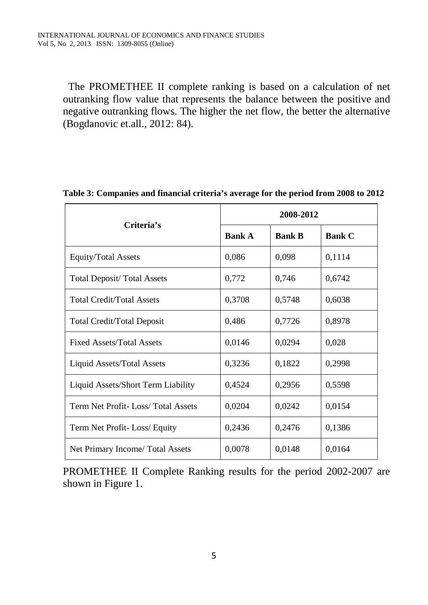The PROMETHEE II complete ranking is based on a calculation of net outranking flow value that represents the balance between the positive and negative outranking flows. The higher the net flow, the better the alternative (Bogdanovic et.all., 2012: 84).

| Criteria's                         | 2008-2012     |               |               |  |  |
|------------------------------------|---------------|---------------|---------------|--|--|
|                                    | <b>Bank A</b> | <b>Bank B</b> | <b>Bank C</b> |  |  |
| Equity/Total Assets                | 0,086         | 0,098         | 0,1114        |  |  |
| <b>Total Deposit/ Total Assets</b> | 0,772         | 0,746         | 0,6742        |  |  |
| <b>Total Credit/Total Assets</b>   | 0,3708        | 0,5748        | 0,6038        |  |  |
| <b>Total Credit/Total Deposit</b>  | 0,486         | 0,7726        | 0,8978        |  |  |
| <b>Fixed Assets/Total Assets</b>   | 0,0146        | 0,0294        | 0,028         |  |  |
| Liquid Assets/Total Assets         | 0,3236        | 0,1822        | 0,2998        |  |  |
| Liquid Assets/Short Term Liability | 0,4524        | 0,2956        | 0,5598        |  |  |
| Term Net Profit-Loss/Total Assets  | 0,0204        | 0,0242        | 0,0154        |  |  |
| Term Net Profit-Loss/Equity        | 0,2436        | 0,2476        | 0,1386        |  |  |
| Net Primary Income/ Total Assets   | 0,0078        | 0,0148        | 0,0164        |  |  |

#### **Table 3: Companies and financial criteria's average for the period from 2008 to 2012**

PROMETHEE II Complete Ranking results for the period 2002-2007 are shown in Figure 1.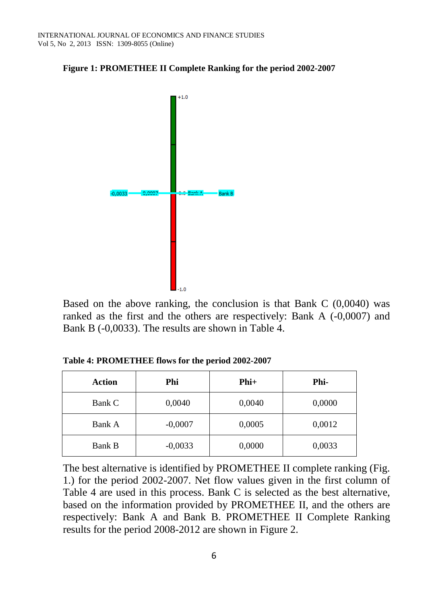



Based on the above ranking, the conclusion is that Bank C (0,0040) was ranked as the first and the others are respectively: Bank A (-0,0007) and Bank B (-0,0033). The results are shown in Table 4.

**Table 4: PROMETHEE flows for the period 2002-2007**

| Action        | Phi       | $Phi+$ | Phi-   |
|---------------|-----------|--------|--------|
| Bank C        | 0,0040    | 0,0040 | 0,0000 |
| Bank A        | $-0,0007$ | 0,0005 | 0,0012 |
| <b>Bank B</b> | $-0,0033$ | 0,0000 | 0,0033 |

The best alternative is identified by PROMETHEE II complete ranking (Fig. 1.) for the period 2002-2007. Net flow values given in the first column of Table 4 are used in this process. Bank C is selected as the best alternative, based on the information provided by PROMETHEE II, and the others are respectively: Bank A and Bank B. PROMETHEE II Complete Ranking results for the period 2008-2012 are shown in Figure 2.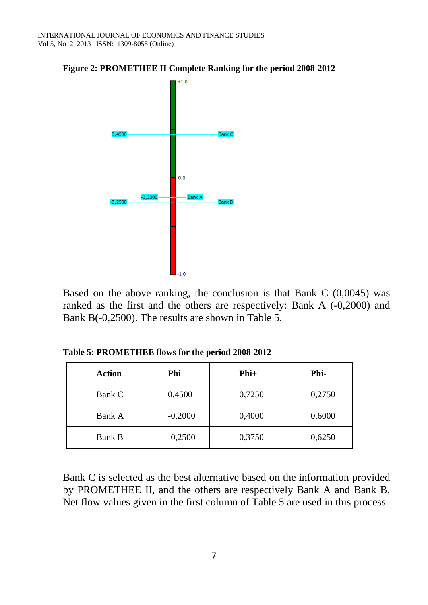

**Figure 2: PROMETHEE II Complete Ranking for the period 2008-2012**

Based on the above ranking, the conclusion is that Bank C (0,0045) was ranked as the first and the others are respectively: Bank A (-0,2000) and Bank B(-0,2500). The results are shown in Table 5.

**Table 5: PROMETHEE flows for the period 2008-2012**

| <b>Action</b> | Phi       | $Phi+$ | Phi-   |
|---------------|-----------|--------|--------|
| Bank C        | 0,4500    | 0,7250 | 0,2750 |
| Bank A        | $-0,2000$ | 0,4000 | 0,6000 |
| <b>Bank B</b> | $-0,2500$ | 0,3750 | 0,6250 |

Bank C is selected as the best alternative based on the information provided by PROMETHEE II, and the others are respectively Bank A and Bank B. Net flow values given in the first column of Table 5 are used in this process.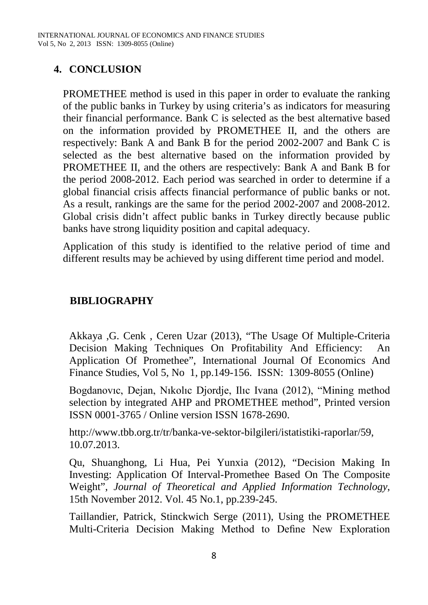## **4. CONCLUSION**

PROMETHEE method is used in this paper in order to evaluate the ranking of the public banks in Turkey by using criteria's as indicators for measuring their financial performance. Bank C is selected as the best alternative based on the information provided by PROMETHEE II, and the others are respectively: Bank A and Bank B for the period 2002-2007 and Bank C is selected as the best alternative based on the information provided by PROMETHEE II, and the others are respectively: Bank A and Bank B for the period 2008-2012. Each period was searched in order to determine if a global financial crisis affects financial performance of public banks or not. As a result, rankings are the same for the period 2002-2007 and 2008-2012. Global crisis didn't affect public banks in Turkey directly because public banks have strong liquidity position and capital adequacy.

Application of this study is identified to the relative period of time and different results may be achieved by using different time period and model.

# **BIBLIOGRAPHY**

Akkaya ,G. Cenk , Ceren Uzar (2013), "The Usage Of Multiple-Criteria Decision Making Techniques On Profitability And Efficiency: Application Of Promethee", International Journal Of Economics And Finance Studies, Vol 5, No 1, pp.149-156. ISSN: 1309-8055 (Online)

Bogdanovıc, Dejan, Nıkolıc Djordje, Ilıc Ivana (2012), "Mining method selection by integrated AHP and PROMETHEE method", Printed version ISSN 0001-3765 / Online version ISSN 1678-2690.

[http://www.tbb.org.tr/tr/banka-ve-sektor-bilgileri/istatistiki-raporlar/59,](http://www.tbb.org.tr/tr/banka-ve-sektor-bilgileri/istatistiki-raporlar/59) 10.07.2013.

Qu, Shuanghong, Li Hua, Pei Yunxia (2012), "Decision Making In Investing: Application Of Interval-Promethee Based On The Composite Weight", *Journal of Theoretical and Applied Information Technology*, 15th November 2012. Vol. 45 No.1, pp.239-245.

Taillandier, Patrick, Stinckwich Serge (2011), Using the PROMETHEE Multi-Criteria Decision Making Method to Define New Exploration